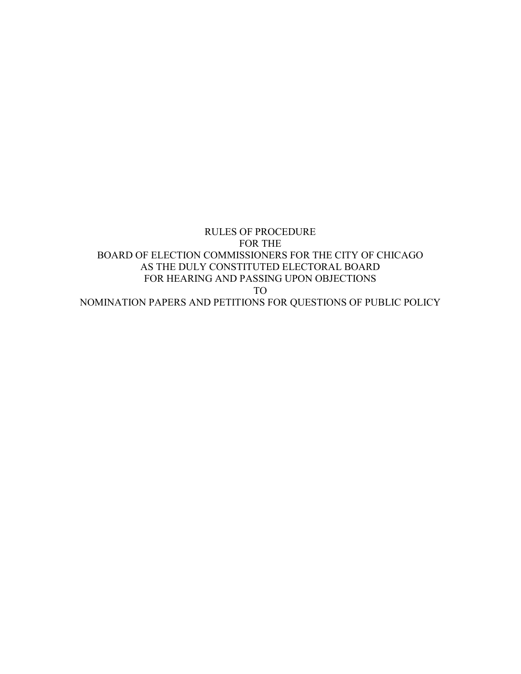RULES OF PROCEDURE FOR THE BOARD OF ELECTION COMMISSIONERS FOR THE CITY OF CHICAGO AS THE DULY CONSTITUTED ELECTORAL BOARD FOR HEARING AND PASSING UPON OBJECTIONS TO NOMINATION PAPERS AND PETITIONS FOR QUESTIONS OF PUBLIC POLICY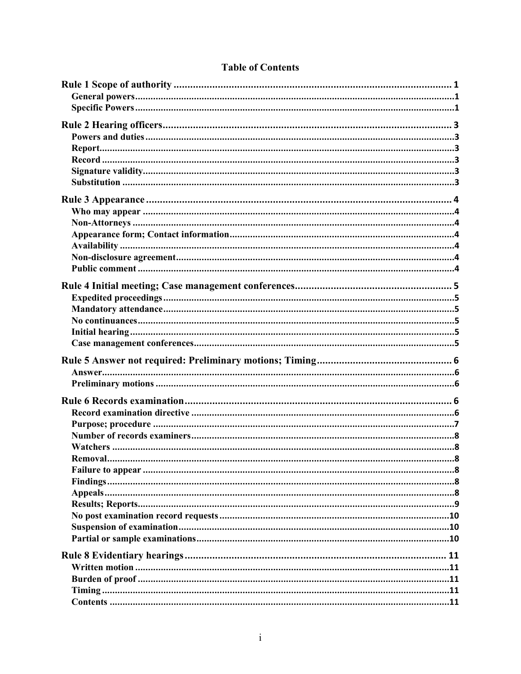# **Table of Contents**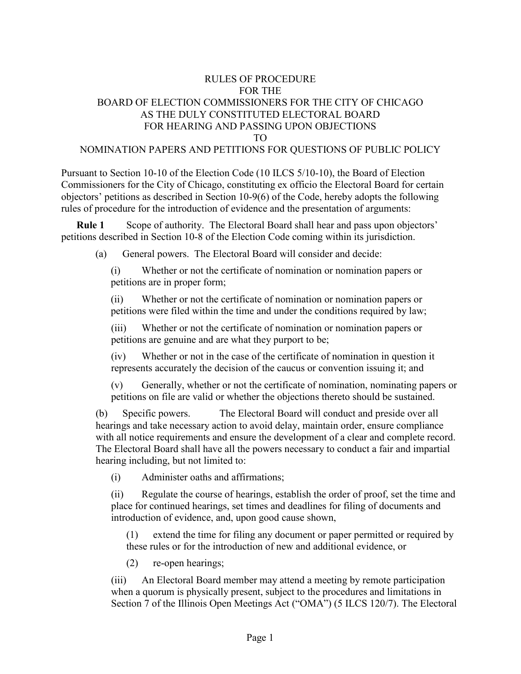# RULES OF PROCEDURE FOR THE BOARD OF ELECTION COMMISSIONERS FOR THE CITY OF CHICAGO AS THE DULY CONSTITUTED ELECTORAL BOARD FOR HEARING AND PASSING UPON OBJECTIONS TO

#### NOMINATION PAPERS AND PETITIONS FOR QUESTIONS OF PUBLIC POLICY

Pursuant to Section 10-10 of the Election Code (10 ILCS 5/10-10), the Board of Election Commissioners for the City of Chicago, constituting ex officio the Electoral Board for certain objectors' petitions as described in Section 10-9(6) of the Code, hereby adopts the following rules of procedure for the introduction of evidence and the presentation of arguments:

**Rule 1** Scope of authority. The Electoral Board shall hear and pass upon objectors' petitions described in Section 10-8 of the Election Code coming within its jurisdiction.

(a) General powers. The Electoral Board will consider and decide:

(i) Whether or not the certificate of nomination or nomination papers or petitions are in proper form;

(ii) Whether or not the certificate of nomination or nomination papers or petitions were filed within the time and under the conditions required by law;

(iii) Whether or not the certificate of nomination or nomination papers or petitions are genuine and are what they purport to be;

(iv) Whether or not in the case of the certificate of nomination in question it represents accurately the decision of the caucus or convention issuing it; and

(v) Generally, whether or not the certificate of nomination, nominating papers or petitions on file are valid or whether the objections thereto should be sustained.

(b) Specific powers. The Electoral Board will conduct and preside over all hearings and take necessary action to avoid delay, maintain order, ensure compliance with all notice requirements and ensure the development of a clear and complete record. The Electoral Board shall have all the powers necessary to conduct a fair and impartial hearing including, but not limited to:

(i) Administer oaths and affirmations;

(ii) Regulate the course of hearings, establish the order of proof, set the time and place for continued hearings, set times and deadlines for filing of documents and introduction of evidence, and, upon good cause shown,

(1) extend the time for filing any document or paper permitted or required by these rules or for the introduction of new and additional evidence, or

(2) re-open hearings;

(iii) An Electoral Board member may attend a meeting by remote participation when a quorum is physically present, subject to the procedures and limitations in Section 7 of the Illinois Open Meetings Act ("OMA") (5 ILCS 120/7). The Electoral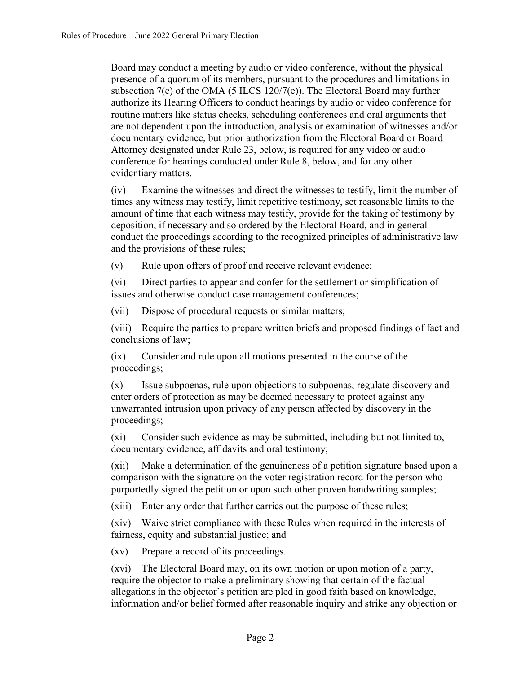Board may conduct a meeting by audio or video conference, without the physical presence of a quorum of its members, pursuant to the procedures and limitations in subsection  $7(e)$  of the OMA (5 ILCS 120/7(e)). The Electoral Board may further authorize its Hearing Officers to conduct hearings by audio or video conference for routine matters like status checks, scheduling conferences and oral arguments that are not dependent upon the introduction, analysis or examination of witnesses and/or documentary evidence, but prior authorization from the Electoral Board or Board Attorney designated under Rule 23, below, is required for any video or audio conference for hearings conducted under Rule 8, below, and for any other evidentiary matters.

(iv) Examine the witnesses and direct the witnesses to testify, limit the number of times any witness may testify, limit repetitive testimony, set reasonable limits to the amount of time that each witness may testify, provide for the taking of testimony by deposition, if necessary and so ordered by the Electoral Board, and in general conduct the proceedings according to the recognized principles of administrative law and the provisions of these rules;

(v) Rule upon offers of proof and receive relevant evidence;

(vi) Direct parties to appear and confer for the settlement or simplification of issues and otherwise conduct case management conferences;

(vii) Dispose of procedural requests or similar matters;

(viii) Require the parties to prepare written briefs and proposed findings of fact and conclusions of law;

(ix) Consider and rule upon all motions presented in the course of the proceedings;

(x) Issue subpoenas, rule upon objections to subpoenas, regulate discovery and enter orders of protection as may be deemed necessary to protect against any unwarranted intrusion upon privacy of any person affected by discovery in the proceedings;

(xi) Consider such evidence as may be submitted, including but not limited to, documentary evidence, affidavits and oral testimony;

(xii) Make a determination of the genuineness of a petition signature based upon a comparison with the signature on the voter registration record for the person who purportedly signed the petition or upon such other proven handwriting samples;

(xiii) Enter any order that further carries out the purpose of these rules;

(xiv) Waive strict compliance with these Rules when required in the interests of fairness, equity and substantial justice; and

(xv) Prepare a record of its proceedings.

(xvi) The Electoral Board may, on its own motion or upon motion of a party, require the objector to make a preliminary showing that certain of the factual allegations in the objector's petition are pled in good faith based on knowledge, information and/or belief formed after reasonable inquiry and strike any objection or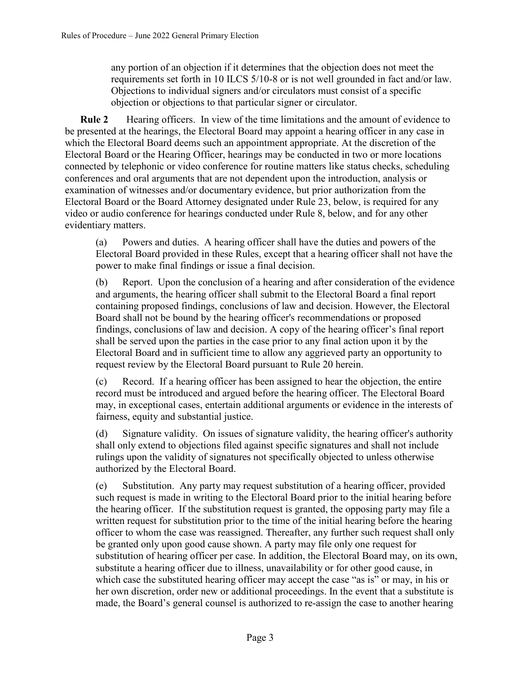any portion of an objection if it determines that the objection does not meet the requirements set forth in 10 ILCS 5/10-8 or is not well grounded in fact and/or law. Objections to individual signers and/or circulators must consist of a specific objection or objections to that particular signer or circulator.

**Rule 2** Hearing officers. In view of the time limitations and the amount of evidence to be presented at the hearings, the Electoral Board may appoint a hearing officer in any case in which the Electoral Board deems such an appointment appropriate. At the discretion of the Electoral Board or the Hearing Officer, hearings may be conducted in two or more locations connected by telephonic or video conference for routine matters like status checks, scheduling conferences and oral arguments that are not dependent upon the introduction, analysis or examination of witnesses and/or documentary evidence, but prior authorization from the Electoral Board or the Board Attorney designated under Rule 23, below, is required for any video or audio conference for hearings conducted under Rule 8, below, and for any other evidentiary matters.

(a) Powers and duties. A hearing officer shall have the duties and powers of the Electoral Board provided in these Rules, except that a hearing officer shall not have the power to make final findings or issue a final decision.

(b) Report. Upon the conclusion of a hearing and after consideration of the evidence and arguments, the hearing officer shall submit to the Electoral Board a final report containing proposed findings, conclusions of law and decision. However, the Electoral Board shall not be bound by the hearing officer's recommendations or proposed findings, conclusions of law and decision. A copy of the hearing officer's final report shall be served upon the parties in the case prior to any final action upon it by the Electoral Board and in sufficient time to allow any aggrieved party an opportunity to request review by the Electoral Board pursuant to Rule 20 herein.

(c) Record. If a hearing officer has been assigned to hear the objection, the entire record must be introduced and argued before the hearing officer. The Electoral Board may, in exceptional cases, entertain additional arguments or evidence in the interests of fairness, equity and substantial justice.

(d) Signature validity. On issues of signature validity, the hearing officer's authority shall only extend to objections filed against specific signatures and shall not include rulings upon the validity of signatures not specifically objected to unless otherwise authorized by the Electoral Board.

(e) Substitution. Any party may request substitution of a hearing officer, provided such request is made in writing to the Electoral Board prior to the initial hearing before the hearing officer. If the substitution request is granted, the opposing party may file a written request for substitution prior to the time of the initial hearing before the hearing officer to whom the case was reassigned. Thereafter, any further such request shall only be granted only upon good cause shown. A party may file only one request for substitution of hearing officer per case. In addition, the Electoral Board may, on its own, substitute a hearing officer due to illness, unavailability or for other good cause, in which case the substituted hearing officer may accept the case "as is" or may, in his or her own discretion, order new or additional proceedings. In the event that a substitute is made, the Board's general counsel is authorized to re-assign the case to another hearing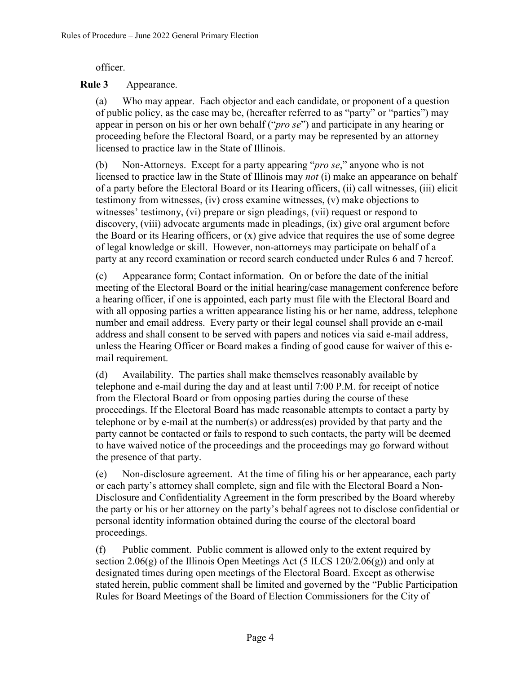officer.

#### **Rule 3** Appearance.

(a) Who may appear. Each objector and each candidate, or proponent of a question of public policy, as the case may be, (hereafter referred to as "party" or "parties") may appear in person on his or her own behalf ("*pro se*") and participate in any hearing or proceeding before the Electoral Board, or a party may be represented by an attorney licensed to practice law in the State of Illinois.

(b) Non-Attorneys. Except for a party appearing "*pro se*," anyone who is not licensed to practice law in the State of Illinois may *not* (i) make an appearance on behalf of a party before the Electoral Board or its Hearing officers, (ii) call witnesses, (iii) elicit testimony from witnesses, (iv) cross examine witnesses, (v) make objections to witnesses' testimony, (vi) prepare or sign pleadings, (vii) request or respond to discovery, (viii) advocate arguments made in pleadings, (ix) give oral argument before the Board or its Hearing officers, or (x) give advice that requires the use of some degree of legal knowledge or skill. However, non-attorneys may participate on behalf of a party at any record examination or record search conducted under Rules 6 and 7 hereof.

(c) Appearance form; Contact information. On or before the date of the initial meeting of the Electoral Board or the initial hearing/case management conference before a hearing officer, if one is appointed, each party must file with the Electoral Board and with all opposing parties a written appearance listing his or her name, address, telephone number and email address. Every party or their legal counsel shall provide an e-mail address and shall consent to be served with papers and notices via said e-mail address, unless the Hearing Officer or Board makes a finding of good cause for waiver of this email requirement.

(d) Availability. The parties shall make themselves reasonably available by telephone and e-mail during the day and at least until 7:00 P.M. for receipt of notice from the Electoral Board or from opposing parties during the course of these proceedings. If the Electoral Board has made reasonable attempts to contact a party by telephone or by e-mail at the number(s) or address(es) provided by that party and the party cannot be contacted or fails to respond to such contacts, the party will be deemed to have waived notice of the proceedings and the proceedings may go forward without the presence of that party.

(e) Non-disclosure agreement. At the time of filing his or her appearance, each party or each party's attorney shall complete, sign and file with the Electoral Board a Non-Disclosure and Confidentiality Agreement in the form prescribed by the Board whereby the party or his or her attorney on the party's behalf agrees not to disclose confidential or personal identity information obtained during the course of the electoral board proceedings.

(f) Public comment. Public comment is allowed only to the extent required by section 2.06(g) of the Illinois Open Meetings Act (5 ILCS 120/2.06(g)) and only at designated times during open meetings of the Electoral Board. Except as otherwise stated herein, public comment shall be limited and governed by the "Public Participation Rules for Board Meetings of the Board of Election Commissioners for the City of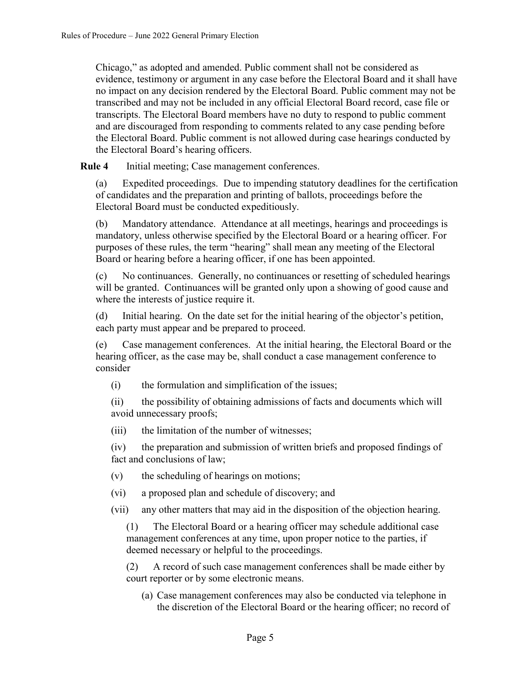Chicago," as adopted and amended. Public comment shall not be considered as evidence, testimony or argument in any case before the Electoral Board and it shall have no impact on any decision rendered by the Electoral Board. Public comment may not be transcribed and may not be included in any official Electoral Board record, case file or transcripts. The Electoral Board members have no duty to respond to public comment and are discouraged from responding to comments related to any case pending before the Electoral Board. Public comment is not allowed during case hearings conducted by the Electoral Board's hearing officers.

**Rule 4** Initial meeting; Case management conferences.

(a) Expedited proceedings. Due to impending statutory deadlines for the certification of candidates and the preparation and printing of ballots, proceedings before the Electoral Board must be conducted expeditiously.

(b) Mandatory attendance. Attendance at all meetings, hearings and proceedings is mandatory, unless otherwise specified by the Electoral Board or a hearing officer. For purposes of these rules, the term "hearing" shall mean any meeting of the Electoral Board or hearing before a hearing officer, if one has been appointed.

(c) No continuances. Generally, no continuances or resetting of scheduled hearings will be granted. Continuances will be granted only upon a showing of good cause and where the interests of justice require it.

(d) Initial hearing. On the date set for the initial hearing of the objector's petition, each party must appear and be prepared to proceed.

(e) Case management conferences. At the initial hearing, the Electoral Board or the hearing officer, as the case may be, shall conduct a case management conference to consider

(i) the formulation and simplification of the issues;

(ii) the possibility of obtaining admissions of facts and documents which will avoid unnecessary proofs;

(iii) the limitation of the number of witnesses;

(iv) the preparation and submission of written briefs and proposed findings of fact and conclusions of law;

- (v) the scheduling of hearings on motions;
- (vi) a proposed plan and schedule of discovery; and

(vii) any other matters that may aid in the disposition of the objection hearing.

(1) The Electoral Board or a hearing officer may schedule additional case management conferences at any time, upon proper notice to the parties, if deemed necessary or helpful to the proceedings.

(2) A record of such case management conferences shall be made either by court reporter or by some electronic means.

(a) Case management conferences may also be conducted via telephone in the discretion of the Electoral Board or the hearing officer; no record of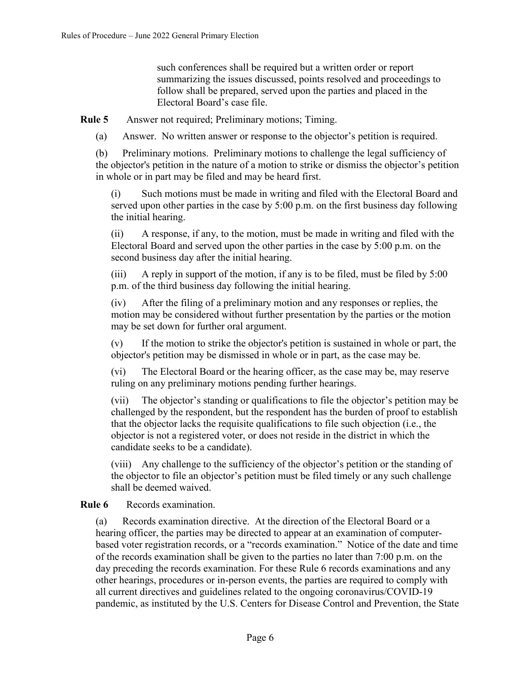such conferences shall be required but a written order or report summarizing the issues discussed, points resolved and proceedings to follow shall be prepared, served upon the parties and placed in the Electoral Board's case file.

**Rule 5** Answer not required; Preliminary motions; Timing.

(a) Answer. No written answer or response to the objector's petition is required.

(b) Preliminary motions. Preliminary motions to challenge the legal sufficiency of the objector's petition in the nature of a motion to strike or dismiss the objector's petition in whole or in part may be filed and may be heard first.

(i) Such motions must be made in writing and filed with the Electoral Board and served upon other parties in the case by 5:00 p.m. on the first business day following the initial hearing.

(ii) A response, if any, to the motion, must be made in writing and filed with the Electoral Board and served upon the other parties in the case by 5:00 p.m. on the second business day after the initial hearing.

(iii) A reply in support of the motion, if any is to be filed, must be filed by 5:00 p.m. of the third business day following the initial hearing.

(iv) After the filing of a preliminary motion and any responses or replies, the motion may be considered without further presentation by the parties or the motion may be set down for further oral argument.

(v) If the motion to strike the objector's petition is sustained in whole or part, the objector's petition may be dismissed in whole or in part, as the case may be.

(vi) The Electoral Board or the hearing officer, as the case may be, may reserve ruling on any preliminary motions pending further hearings.

(vii) The objector's standing or qualifications to file the objector's petition may be challenged by the respondent, but the respondent has the burden of proof to establish that the objector lacks the requisite qualifications to file such objection (i.e., the objector is not a registered voter, or does not reside in the district in which the candidate seeks to be a candidate).

(viii) Any challenge to the sufficiency of the objector's petition or the standing of the objector to file an objector's petition must be filed timely or any such challenge shall be deemed waived.

### **Rule 6** Records examination.

(a) Records examination directive. At the direction of the Electoral Board or a hearing officer, the parties may be directed to appear at an examination of computerbased voter registration records, or a "records examination." Notice of the date and time of the records examination shall be given to the parties no later than 7:00 p.m. on the day preceding the records examination. For these Rule 6 records examinations and any other hearings, procedures or in-person events, the parties are required to comply with all current directives and guidelines related to the ongoing coronavirus/COVID-19 pandemic, as instituted by the U.S. Centers for Disease Control and Prevention, the State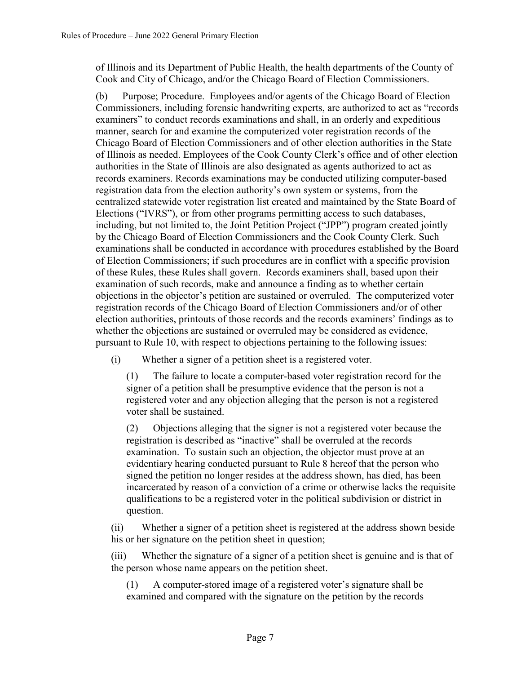of Illinois and its Department of Public Health, the health departments of the County of Cook and City of Chicago, and/or the Chicago Board of Election Commissioners.

(b) Purpose; Procedure. Employees and/or agents of the Chicago Board of Election Commissioners, including forensic handwriting experts, are authorized to act as "records examiners" to conduct records examinations and shall, in an orderly and expeditious manner, search for and examine the computerized voter registration records of the Chicago Board of Election Commissioners and of other election authorities in the State of Illinois as needed. Employees of the Cook County Clerk's office and of other election authorities in the State of Illinois are also designated as agents authorized to act as records examiners. Records examinations may be conducted utilizing computer-based registration data from the election authority's own system or systems, from the centralized statewide voter registration list created and maintained by the State Board of Elections ("IVRS"), or from other programs permitting access to such databases, including, but not limited to, the Joint Petition Project ("JPP") program created jointly by the Chicago Board of Election Commissioners and the Cook County Clerk. Such examinations shall be conducted in accordance with procedures established by the Board of Election Commissioners; if such procedures are in conflict with a specific provision of these Rules, these Rules shall govern. Records examiners shall, based upon their examination of such records, make and announce a finding as to whether certain objections in the objector's petition are sustained or overruled. The computerized voter registration records of the Chicago Board of Election Commissioners and/or of other election authorities, printouts of those records and the records examiners' findings as to whether the objections are sustained or overruled may be considered as evidence, pursuant to Rule 10, with respect to objections pertaining to the following issues:

(i) Whether a signer of a petition sheet is a registered voter.

(1) The failure to locate a computer-based voter registration record for the signer of a petition shall be presumptive evidence that the person is not a registered voter and any objection alleging that the person is not a registered voter shall be sustained.

(2) Objections alleging that the signer is not a registered voter because the registration is described as "inactive" shall be overruled at the records examination. To sustain such an objection, the objector must prove at an evidentiary hearing conducted pursuant to Rule 8 hereof that the person who signed the petition no longer resides at the address shown, has died, has been incarcerated by reason of a conviction of a crime or otherwise lacks the requisite qualifications to be a registered voter in the political subdivision or district in question.

(ii) Whether a signer of a petition sheet is registered at the address shown beside his or her signature on the petition sheet in question;

(iii) Whether the signature of a signer of a petition sheet is genuine and is that of the person whose name appears on the petition sheet.

(1) A computer-stored image of a registered voter's signature shall be examined and compared with the signature on the petition by the records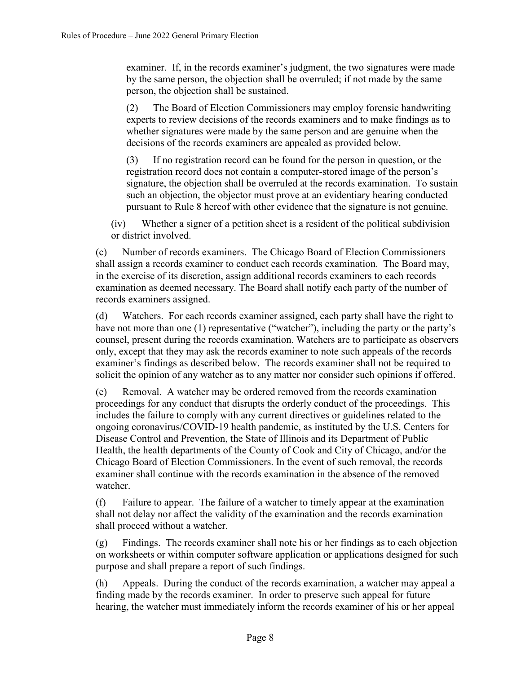examiner. If, in the records examiner's judgment, the two signatures were made by the same person, the objection shall be overruled; if not made by the same person, the objection shall be sustained.

(2) The Board of Election Commissioners may employ forensic handwriting experts to review decisions of the records examiners and to make findings as to whether signatures were made by the same person and are genuine when the decisions of the records examiners are appealed as provided below.

(3) If no registration record can be found for the person in question, or the registration record does not contain a computer-stored image of the person's signature, the objection shall be overruled at the records examination. To sustain such an objection, the objector must prove at an evidentiary hearing conducted pursuant to Rule 8 hereof with other evidence that the signature is not genuine.

(iv) Whether a signer of a petition sheet is a resident of the political subdivision or district involved.

(c) Number of records examiners. The Chicago Board of Election Commissioners shall assign a records examiner to conduct each records examination. The Board may, in the exercise of its discretion, assign additional records examiners to each records examination as deemed necessary. The Board shall notify each party of the number of records examiners assigned.

(d) Watchers. For each records examiner assigned, each party shall have the right to have not more than one (1) representative ("watcher"), including the party or the party's counsel, present during the records examination. Watchers are to participate as observers only, except that they may ask the records examiner to note such appeals of the records examiner's findings as described below. The records examiner shall not be required to solicit the opinion of any watcher as to any matter nor consider such opinions if offered.

(e) Removal. A watcher may be ordered removed from the records examination proceedings for any conduct that disrupts the orderly conduct of the proceedings. This includes the failure to comply with any current directives or guidelines related to the ongoing coronavirus/COVID-19 health pandemic, as instituted by the U.S. Centers for Disease Control and Prevention, the State of Illinois and its Department of Public Health, the health departments of the County of Cook and City of Chicago, and/or the Chicago Board of Election Commissioners. In the event of such removal, the records examiner shall continue with the records examination in the absence of the removed watcher.

(f) Failure to appear. The failure of a watcher to timely appear at the examination shall not delay nor affect the validity of the examination and the records examination shall proceed without a watcher.

(g) Findings. The records examiner shall note his or her findings as to each objection on worksheets or within computer software application or applications designed for such purpose and shall prepare a report of such findings.

(h) Appeals. During the conduct of the records examination, a watcher may appeal a finding made by the records examiner. In order to preserve such appeal for future hearing, the watcher must immediately inform the records examiner of his or her appeal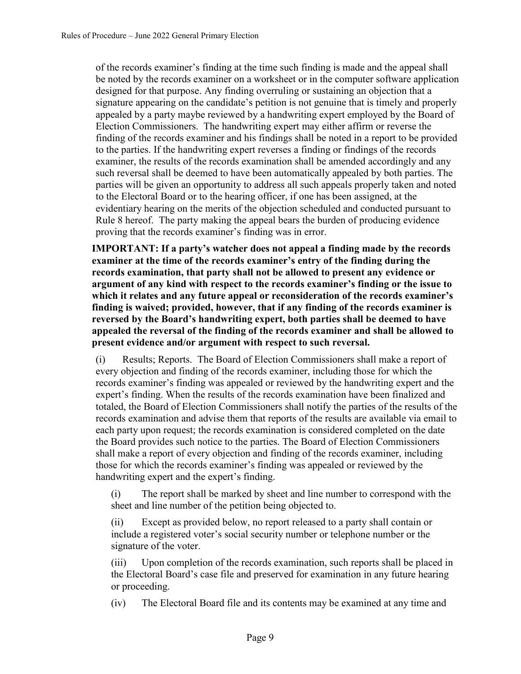of the records examiner's finding at the time such finding is made and the appeal shall be noted by the records examiner on a worksheet or in the computer software application designed for that purpose. Any finding overruling or sustaining an objection that a signature appearing on the candidate's petition is not genuine that is timely and properly appealed by a party maybe reviewed by a handwriting expert employed by the Board of Election Commissioners. The handwriting expert may either affirm or reverse the finding of the records examiner and his findings shall be noted in a report to be provided to the parties. If the handwriting expert reverses a finding or findings of the records examiner, the results of the records examination shall be amended accordingly and any such reversal shall be deemed to have been automatically appealed by both parties. The parties will be given an opportunity to address all such appeals properly taken and noted to the Electoral Board or to the hearing officer, if one has been assigned, at the evidentiary hearing on the merits of the objection scheduled and conducted pursuant to Rule 8 hereof. The party making the appeal bears the burden of producing evidence proving that the records examiner's finding was in error.

**IMPORTANT: If a party's watcher does not appeal a finding made by the records examiner at the time of the records examiner's entry of the finding during the records examination, that party shall not be allowed to present any evidence or argument of any kind with respect to the records examiner's finding or the issue to which it relates and any future appeal or reconsideration of the records examiner's finding is waived; provided, however, that if any finding of the records examiner is reversed by the Board's handwriting expert, both parties shall be deemed to have appealed the reversal of the finding of the records examiner and shall be allowed to present evidence and/or argument with respect to such reversal.**

(i) Results; Reports. The Board of Election Commissioners shall make a report of every objection and finding of the records examiner, including those for which the records examiner's finding was appealed or reviewed by the handwriting expert and the expert's finding. When the results of the records examination have been finalized and totaled, the Board of Election Commissioners shall notify the parties of the results of the records examination and advise them that reports of the results are available via email to each party upon request; the records examination is considered completed on the date the Board provides such notice to the parties. The Board of Election Commissioners shall make a report of every objection and finding of the records examiner, including those for which the records examiner's finding was appealed or reviewed by the handwriting expert and the expert's finding.

(i) The report shall be marked by sheet and line number to correspond with the sheet and line number of the petition being objected to.

(ii) Except as provided below, no report released to a party shall contain or include a registered voter's social security number or telephone number or the signature of the voter.

(iii) Upon completion of the records examination, such reports shall be placed in the Electoral Board's case file and preserved for examination in any future hearing or proceeding.

(iv) The Electoral Board file and its contents may be examined at any time and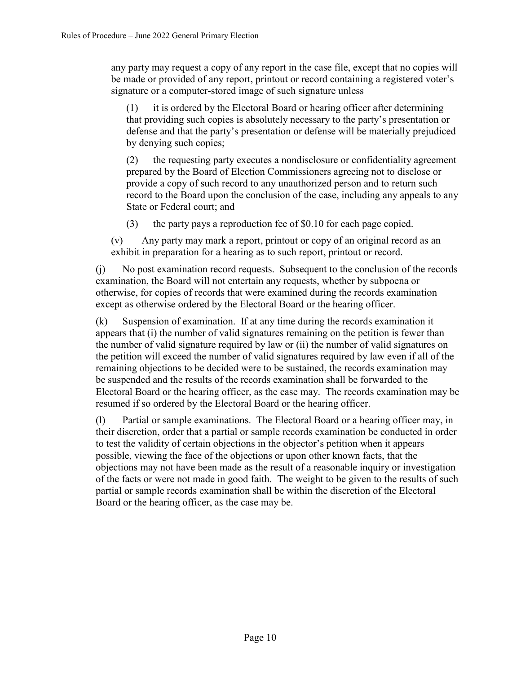any party may request a copy of any report in the case file, except that no copies will be made or provided of any report, printout or record containing a registered voter's signature or a computer-stored image of such signature unless

(1) it is ordered by the Electoral Board or hearing officer after determining that providing such copies is absolutely necessary to the party's presentation or defense and that the party's presentation or defense will be materially prejudiced by denying such copies;

(2) the requesting party executes a nondisclosure or confidentiality agreement prepared by the Board of Election Commissioners agreeing not to disclose or provide a copy of such record to any unauthorized person and to return such record to the Board upon the conclusion of the case, including any appeals to any State or Federal court; and

(3) the party pays a reproduction fee of \$0.10 for each page copied.

(v) Any party may mark a report, printout or copy of an original record as an exhibit in preparation for a hearing as to such report, printout or record.

(j) No post examination record requests. Subsequent to the conclusion of the records examination, the Board will not entertain any requests, whether by subpoena or otherwise, for copies of records that were examined during the records examination except as otherwise ordered by the Electoral Board or the hearing officer.

(k) Suspension of examination. If at any time during the records examination it appears that (i) the number of valid signatures remaining on the petition is fewer than the number of valid signature required by law or (ii) the number of valid signatures on the petition will exceed the number of valid signatures required by law even if all of the remaining objections to be decided were to be sustained, the records examination may be suspended and the results of the records examination shall be forwarded to the Electoral Board or the hearing officer, as the case may. The records examination may be resumed if so ordered by the Electoral Board or the hearing officer.

(l) Partial or sample examinations. The Electoral Board or a hearing officer may, in their discretion, order that a partial or sample records examination be conducted in order to test the validity of certain objections in the objector's petition when it appears possible, viewing the face of the objections or upon other known facts, that the objections may not have been made as the result of a reasonable inquiry or investigation of the facts or were not made in good faith. The weight to be given to the results of such partial or sample records examination shall be within the discretion of the Electoral Board or the hearing officer, as the case may be.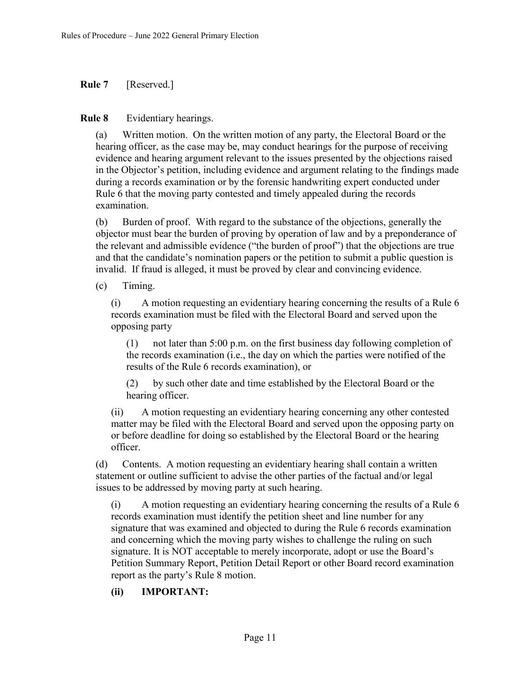**Rule 7** [Reserved.]

**Rule 8** Evidentiary hearings.

(a) Written motion. On the written motion of any party, the Electoral Board or the hearing officer, as the case may be, may conduct hearings for the purpose of receiving evidence and hearing argument relevant to the issues presented by the objections raised in the Objector's petition, including evidence and argument relating to the findings made during a records examination or by the forensic handwriting expert conducted under Rule 6 that the moving party contested and timely appealed during the records examination.

(b) Burden of proof. With regard to the substance of the objections, generally the objector must bear the burden of proving by operation of law and by a preponderance of the relevant and admissible evidence ("the burden of proof") that the objections are true and that the candidate's nomination papers or the petition to submit a public question is invalid. If fraud is alleged, it must be proved by clear and convincing evidence.

(c) Timing.

(i) A motion requesting an evidentiary hearing concerning the results of a Rule 6 records examination must be filed with the Electoral Board and served upon the opposing party

(1) not later than 5:00 p.m. on the first business day following completion of the records examination (i.e., the day on which the parties were notified of the results of the Rule 6 records examination), or

(2) by such other date and time established by the Electoral Board or the hearing officer.

(ii) A motion requesting an evidentiary hearing concerning any other contested matter may be filed with the Electoral Board and served upon the opposing party on or before deadline for doing so established by the Electoral Board or the hearing officer.

(d) Contents. A motion requesting an evidentiary hearing shall contain a written statement or outline sufficient to advise the other parties of the factual and/or legal issues to be addressed by moving party at such hearing.

(i) A motion requesting an evidentiary hearing concerning the results of a Rule 6 records examination must identify the petition sheet and line number for any signature that was examined and objected to during the Rule 6 records examination and concerning which the moving party wishes to challenge the ruling on such signature. It is NOT acceptable to merely incorporate, adopt or use the Board's Petition Summary Report, Petition Detail Report or other Board record examination report as the party's Rule 8 motion.

### **(ii) IMPORTANT:**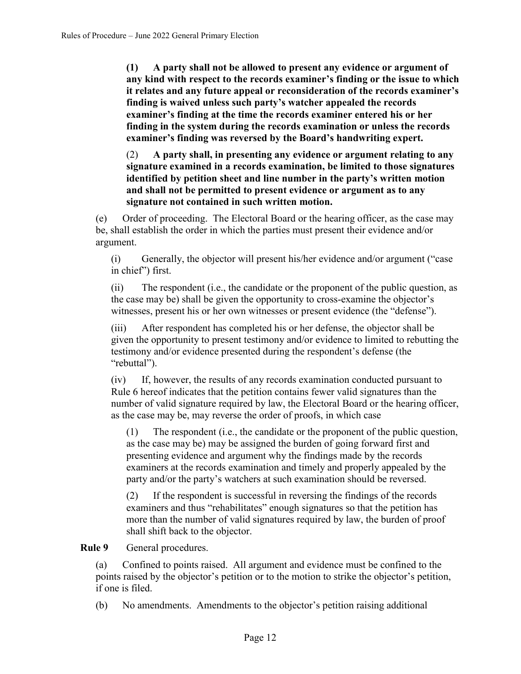**(1) A party shall not be allowed to present any evidence or argument of any kind with respect to the records examiner's finding or the issue to which it relates and any future appeal or reconsideration of the records examiner's finding is waived unless such party's watcher appealed the records examiner's finding at the time the records examiner entered his or her finding in the system during the records examination or unless the records examiner's finding was reversed by the Board's handwriting expert.**

(2) **A party shall, in presenting any evidence or argument relating to any signature examined in a records examination, be limited to those signatures identified by petition sheet and line number in the party's written motion and shall not be permitted to present evidence or argument as to any signature not contained in such written motion.**

(e) Order of proceeding. The Electoral Board or the hearing officer, as the case may be, shall establish the order in which the parties must present their evidence and/or argument.

(i) Generally, the objector will present his/her evidence and/or argument ("case in chief") first.

(ii) The respondent (i.e., the candidate or the proponent of the public question, as the case may be) shall be given the opportunity to cross-examine the objector's witnesses, present his or her own witnesses or present evidence (the "defense").

(iii) After respondent has completed his or her defense, the objector shall be given the opportunity to present testimony and/or evidence to limited to rebutting the testimony and/or evidence presented during the respondent's defense (the "rebuttal").

(iv) If, however, the results of any records examination conducted pursuant to Rule 6 hereof indicates that the petition contains fewer valid signatures than the number of valid signature required by law, the Electoral Board or the hearing officer, as the case may be, may reverse the order of proofs, in which case

(1) The respondent (i.e., the candidate or the proponent of the public question, as the case may be) may be assigned the burden of going forward first and presenting evidence and argument why the findings made by the records examiners at the records examination and timely and properly appealed by the party and/or the party's watchers at such examination should be reversed.

(2) If the respondent is successful in reversing the findings of the records examiners and thus "rehabilitates" enough signatures so that the petition has more than the number of valid signatures required by law, the burden of proof shall shift back to the objector.

**Rule 9** General procedures.

(a) Confined to points raised. All argument and evidence must be confined to the points raised by the objector's petition or to the motion to strike the objector's petition, if one is filed.

(b) No amendments. Amendments to the objector's petition raising additional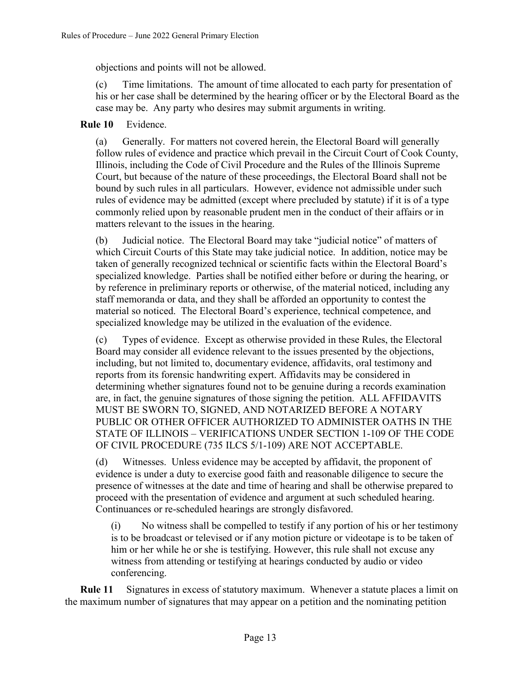objections and points will not be allowed.

(c) Time limitations. The amount of time allocated to each party for presentation of his or her case shall be determined by the hearing officer or by the Electoral Board as the case may be. Any party who desires may submit arguments in writing.

# **Rule 10** Evidence.

(a) Generally. For matters not covered herein, the Electoral Board will generally follow rules of evidence and practice which prevail in the Circuit Court of Cook County, Illinois, including the Code of Civil Procedure and the Rules of the Illinois Supreme Court, but because of the nature of these proceedings, the Electoral Board shall not be bound by such rules in all particulars. However, evidence not admissible under such rules of evidence may be admitted (except where precluded by statute) if it is of a type commonly relied upon by reasonable prudent men in the conduct of their affairs or in matters relevant to the issues in the hearing.

(b) Judicial notice. The Electoral Board may take "judicial notice" of matters of which Circuit Courts of this State may take judicial notice. In addition, notice may be taken of generally recognized technical or scientific facts within the Electoral Board's specialized knowledge. Parties shall be notified either before or during the hearing, or by reference in preliminary reports or otherwise, of the material noticed, including any staff memoranda or data, and they shall be afforded an opportunity to contest the material so noticed. The Electoral Board's experience, technical competence, and specialized knowledge may be utilized in the evaluation of the evidence.

(c) Types of evidence. Except as otherwise provided in these Rules, the Electoral Board may consider all evidence relevant to the issues presented by the objections, including, but not limited to, documentary evidence, affidavits, oral testimony and reports from its forensic handwriting expert. Affidavits may be considered in determining whether signatures found not to be genuine during a records examination are, in fact, the genuine signatures of those signing the petition. ALL AFFIDAVITS MUST BE SWORN TO, SIGNED, AND NOTARIZED BEFORE A NOTARY PUBLIC OR OTHER OFFICER AUTHORIZED TO ADMINISTER OATHS IN THE STATE OF ILLINOIS – VERIFICATIONS UNDER SECTION 1-109 OF THE CODE OF CIVIL PROCEDURE (735 ILCS 5/1-109) ARE NOT ACCEPTABLE.

(d) Witnesses. Unless evidence may be accepted by affidavit, the proponent of evidence is under a duty to exercise good faith and reasonable diligence to secure the presence of witnesses at the date and time of hearing and shall be otherwise prepared to proceed with the presentation of evidence and argument at such scheduled hearing. Continuances or re-scheduled hearings are strongly disfavored.

(i) No witness shall be compelled to testify if any portion of his or her testimony is to be broadcast or televised or if any motion picture or videotape is to be taken of him or her while he or she is testifying. However, this rule shall not excuse any witness from attending or testifying at hearings conducted by audio or video conferencing.

**Rule 11** Signatures in excess of statutory maximum. Whenever a statute places a limit on the maximum number of signatures that may appear on a petition and the nominating petition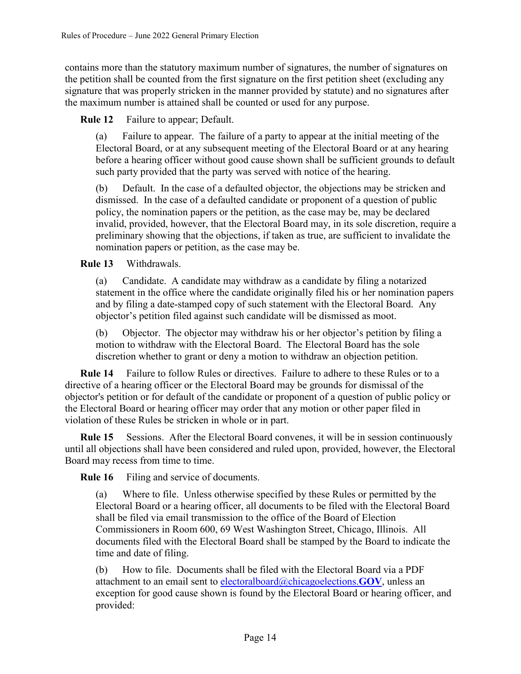contains more than the statutory maximum number of signatures, the number of signatures on the petition shall be counted from the first signature on the first petition sheet (excluding any signature that was properly stricken in the manner provided by statute) and no signatures after the maximum number is attained shall be counted or used for any purpose.

**Rule 12** Failure to appear; Default.

(a) Failure to appear. The failure of a party to appear at the initial meeting of the Electoral Board, or at any subsequent meeting of the Electoral Board or at any hearing before a hearing officer without good cause shown shall be sufficient grounds to default such party provided that the party was served with notice of the hearing.

(b) Default. In the case of a defaulted objector, the objections may be stricken and dismissed. In the case of a defaulted candidate or proponent of a question of public policy, the nomination papers or the petition, as the case may be, may be declared invalid, provided, however, that the Electoral Board may, in its sole discretion, require a preliminary showing that the objections, if taken as true, are sufficient to invalidate the nomination papers or petition, as the case may be.

**Rule 13** Withdrawals.

(a) Candidate. A candidate may withdraw as a candidate by filing a notarized statement in the office where the candidate originally filed his or her nomination papers and by filing a date-stamped copy of such statement with the Electoral Board. Any objector's petition filed against such candidate will be dismissed as moot.

(b) Objector. The objector may withdraw his or her objector's petition by filing a motion to withdraw with the Electoral Board. The Electoral Board has the sole discretion whether to grant or deny a motion to withdraw an objection petition.

**Rule 14** Failure to follow Rules or directives. Failure to adhere to these Rules or to a directive of a hearing officer or the Electoral Board may be grounds for dismissal of the objector's petition or for default of the candidate or proponent of a question of public policy or the Electoral Board or hearing officer may order that any motion or other paper filed in violation of these Rules be stricken in whole or in part.

**Rule 15** Sessions. After the Electoral Board convenes, it will be in session continuously until all objections shall have been considered and ruled upon, provided, however, the Electoral Board may recess from time to time.

**Rule 16** Filing and service of documents.

(a) Where to file. Unless otherwise specified by these Rules or permitted by the Electoral Board or a hearing officer, all documents to be filed with the Electoral Board shall be filed via email transmission to the office of the Board of Election Commissioners in Room 600, 69 West Washington Street, Chicago, Illinois. All documents filed with the Electoral Board shall be stamped by the Board to indicate the time and date of filing.

(b) How to file. Documents shall be filed with the Electoral Board via a PDF attachment to an email sent to [electoralboard@chicagoelections.](mailto:electoralboard@chicagoelections.GOV)**GOV**, unless an exception for good cause shown is found by the Electoral Board or hearing officer, and provided: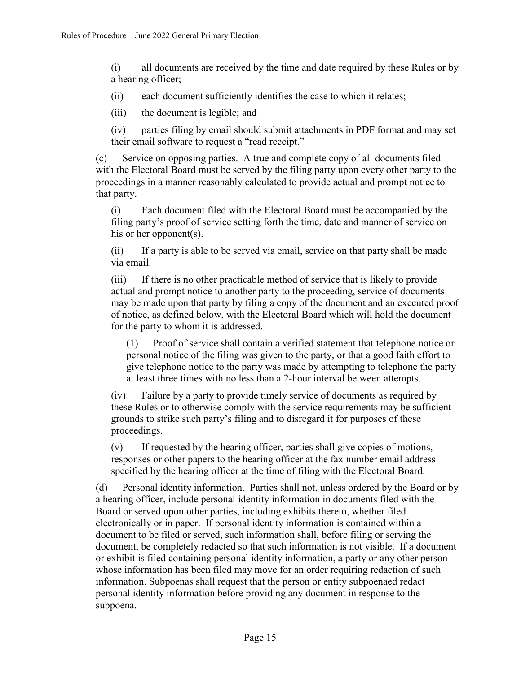(i) all documents are received by the time and date required by these Rules or by a hearing officer;

(ii) each document sufficiently identifies the case to which it relates;

(iii) the document is legible; and

(iv) parties filing by email should submit attachments in PDF format and may set their email software to request a "read receipt."

(c) Service on opposing parties. A true and complete copy of all documents filed with the Electoral Board must be served by the filing party upon every other party to the proceedings in a manner reasonably calculated to provide actual and prompt notice to that party.

(i) Each document filed with the Electoral Board must be accompanied by the filing party's proof of service setting forth the time, date and manner of service on his or her opponent(s).

(ii) If a party is able to be served via email, service on that party shall be made via email.

(iii) If there is no other practicable method of service that is likely to provide actual and prompt notice to another party to the proceeding, service of documents may be made upon that party by filing a copy of the document and an executed proof of notice, as defined below, with the Electoral Board which will hold the document for the party to whom it is addressed.

(1) Proof of service shall contain a verified statement that telephone notice or personal notice of the filing was given to the party, or that a good faith effort to give telephone notice to the party was made by attempting to telephone the party at least three times with no less than a 2-hour interval between attempts.

(iv) Failure by a party to provide timely service of documents as required by these Rules or to otherwise comply with the service requirements may be sufficient grounds to strike such party's filing and to disregard it for purposes of these proceedings.

(v) If requested by the hearing officer, parties shall give copies of motions, responses or other papers to the hearing officer at the fax number email address specified by the hearing officer at the time of filing with the Electoral Board.

(d) Personal identity information. Parties shall not, unless ordered by the Board or by a hearing officer, include personal identity information in documents filed with the Board or served upon other parties, including exhibits thereto, whether filed electronically or in paper. If personal identity information is contained within a document to be filed or served, such information shall, before filing or serving the document, be completely redacted so that such information is not visible. If a document or exhibit is filed containing personal identity information, a party or any other person whose information has been filed may move for an order requiring redaction of such information. Subpoenas shall request that the person or entity subpoenaed redact personal identity information before providing any document in response to the subpoena.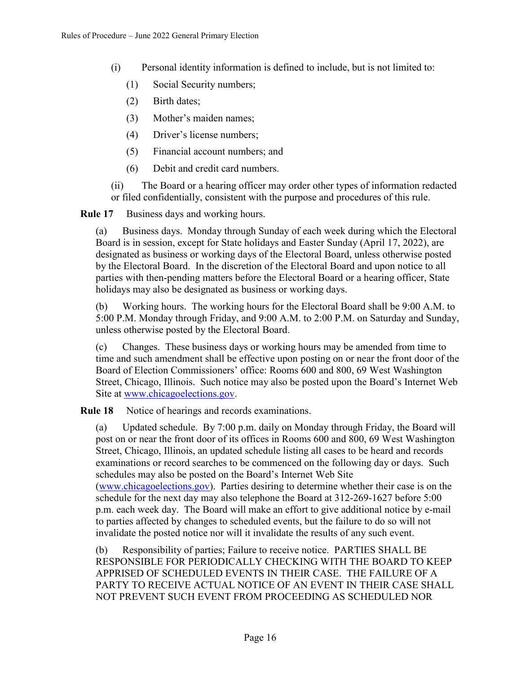- (i) Personal identity information is defined to include, but is not limited to:
	- (1) Social Security numbers;
	- (2) Birth dates;
	- (3) Mother's maiden names;
	- (4) Driver's license numbers;
	- (5) Financial account numbers; and
	- (6) Debit and credit card numbers.

(ii) The Board or a hearing officer may order other types of information redacted or filed confidentially, consistent with the purpose and procedures of this rule.

**Rule 17** Business days and working hours.

(a) Business days. Monday through Sunday of each week during which the Electoral Board is in session, except for State holidays and Easter Sunday (April 17, 2022), are designated as business or working days of the Electoral Board, unless otherwise posted by the Electoral Board. In the discretion of the Electoral Board and upon notice to all parties with then-pending matters before the Electoral Board or a hearing officer, State holidays may also be designated as business or working days.

(b) Working hours. The working hours for the Electoral Board shall be 9:00 A.M. to 5:00 P.M. Monday through Friday, and 9:00 A.M. to 2:00 P.M. on Saturday and Sunday, unless otherwise posted by the Electoral Board.

(c) Changes. These business days or working hours may be amended from time to time and such amendment shall be effective upon posting on or near the front door of the Board of Election Commissioners' office: Rooms 600 and 800, 69 West Washington Street, Chicago, Illinois. Such notice may also be posted upon the Board's Internet Web Site at [www.chicagoelections.gov.](http://www.chicagoelections.gov/)

**Rule 18** Notice of hearings and records examinations.

(a) Updated schedule. By 7:00 p.m. daily on Monday through Friday, the Board will post on or near the front door of its offices in Rooms 600 and 800, 69 West Washington Street, Chicago, Illinois, an updated schedule listing all cases to be heard and records examinations or record searches to be commenced on the following day or days. Such schedules may also be posted on the Board's Internet Web Site [\(www.chicagoelections.gov\)](http://www.chicagoelections.com/). Parties desiring to determine whether their case is on the schedule for the next day may also telephone the Board at 312-269-1627 before 5:00 p.m. each week day. The Board will make an effort to give additional notice by e-mail to parties affected by changes to scheduled events, but the failure to do so will not

(b) Responsibility of parties; Failure to receive notice. PARTIES SHALL BE RESPONSIBLE FOR PERIODICALLY CHECKING WITH THE BOARD TO KEEP APPRISED OF SCHEDULED EVENTS IN THEIR CASE. THE FAILURE OF A PARTY TO RECEIVE ACTUAL NOTICE OF AN EVENT IN THEIR CASE SHALL NOT PREVENT SUCH EVENT FROM PROCEEDING AS SCHEDULED NOR

invalidate the posted notice nor will it invalidate the results of any such event.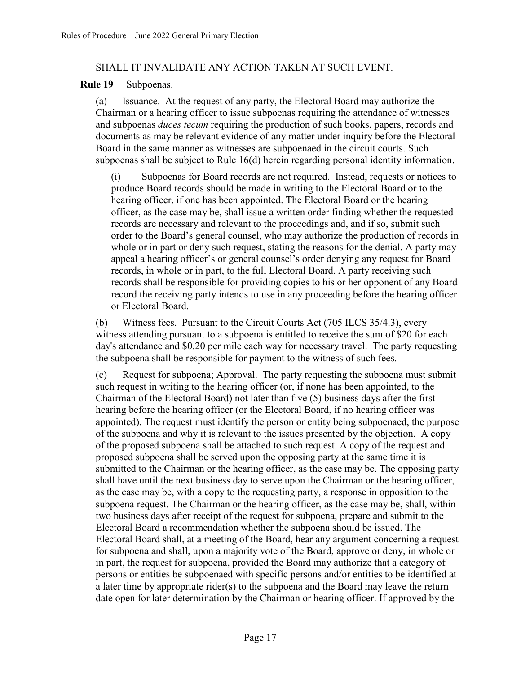#### SHALL IT INVALIDATE ANY ACTION TAKEN AT SUCH EVENT.

#### **Rule 19** Subpoenas.

(a) Issuance. At the request of any party, the Electoral Board may authorize the Chairman or a hearing officer to issue subpoenas requiring the attendance of witnesses and subpoenas *duces tecum* requiring the production of such books, papers, records and documents as may be relevant evidence of any matter under inquiry before the Electoral Board in the same manner as witnesses are subpoenaed in the circuit courts. Such subpoenas shall be subject to Rule 16(d) herein regarding personal identity information.

(i) Subpoenas for Board records are not required. Instead, requests or notices to produce Board records should be made in writing to the Electoral Board or to the hearing officer, if one has been appointed. The Electoral Board or the hearing officer, as the case may be, shall issue a written order finding whether the requested records are necessary and relevant to the proceedings and, and if so, submit such order to the Board's general counsel, who may authorize the production of records in whole or in part or deny such request, stating the reasons for the denial. A party may appeal a hearing officer's or general counsel's order denying any request for Board records, in whole or in part, to the full Electoral Board. A party receiving such records shall be responsible for providing copies to his or her opponent of any Board record the receiving party intends to use in any proceeding before the hearing officer or Electoral Board.

(b) Witness fees. Pursuant to the Circuit Courts Act (705 ILCS 35/4.3), every witness attending pursuant to a subpoena is entitled to receive the sum of \$20 for each day's attendance and \$0.20 per mile each way for necessary travel. The party requesting the subpoena shall be responsible for payment to the witness of such fees.

(c) Request for subpoena; Approval. The party requesting the subpoena must submit such request in writing to the hearing officer (or, if none has been appointed, to the Chairman of the Electoral Board) not later than five (5) business days after the first hearing before the hearing officer (or the Electoral Board, if no hearing officer was appointed). The request must identify the person or entity being subpoenaed, the purpose of the subpoena and why it is relevant to the issues presented by the objection. A copy of the proposed subpoena shall be attached to such request. A copy of the request and proposed subpoena shall be served upon the opposing party at the same time it is submitted to the Chairman or the hearing officer, as the case may be. The opposing party shall have until the next business day to serve upon the Chairman or the hearing officer, as the case may be, with a copy to the requesting party, a response in opposition to the subpoena request. The Chairman or the hearing officer, as the case may be, shall, within two business days after receipt of the request for subpoena, prepare and submit to the Electoral Board a recommendation whether the subpoena should be issued. The Electoral Board shall, at a meeting of the Board, hear any argument concerning a request for subpoena and shall, upon a majority vote of the Board, approve or deny, in whole or in part, the request for subpoena, provided the Board may authorize that a category of persons or entities be subpoenaed with specific persons and/or entities to be identified at a later time by appropriate rider(s) to the subpoena and the Board may leave the return date open for later determination by the Chairman or hearing officer. If approved by the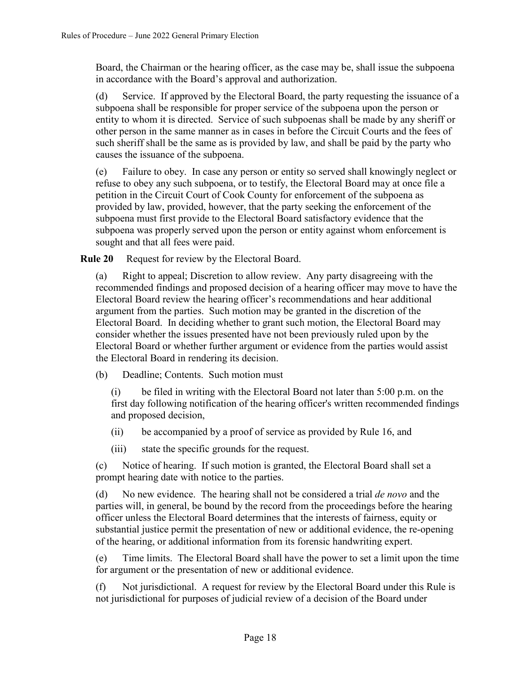Board, the Chairman or the hearing officer, as the case may be, shall issue the subpoena in accordance with the Board's approval and authorization.

(d) Service. If approved by the Electoral Board, the party requesting the issuance of a subpoena shall be responsible for proper service of the subpoena upon the person or entity to whom it is directed. Service of such subpoenas shall be made by any sheriff or other person in the same manner as in cases in before the Circuit Courts and the fees of such sheriff shall be the same as is provided by law, and shall be paid by the party who causes the issuance of the subpoena.

(e) Failure to obey. In case any person or entity so served shall knowingly neglect or refuse to obey any such subpoena, or to testify, the Electoral Board may at once file a petition in the Circuit Court of Cook County for enforcement of the subpoena as provided by law, provided, however, that the party seeking the enforcement of the subpoena must first provide to the Electoral Board satisfactory evidence that the subpoena was properly served upon the person or entity against whom enforcement is sought and that all fees were paid.

**Rule 20** Request for review by the Electoral Board.

(a) Right to appeal; Discretion to allow review. Any party disagreeing with the recommended findings and proposed decision of a hearing officer may move to have the Electoral Board review the hearing officer's recommendations and hear additional argument from the parties. Such motion may be granted in the discretion of the Electoral Board. In deciding whether to grant such motion, the Electoral Board may consider whether the issues presented have not been previously ruled upon by the Electoral Board or whether further argument or evidence from the parties would assist the Electoral Board in rendering its decision.

(b) Deadline; Contents. Such motion must

(i) be filed in writing with the Electoral Board not later than 5:00 p.m. on the first day following notification of the hearing officer's written recommended findings and proposed decision,

(ii) be accompanied by a proof of service as provided by Rule 16, and

(iii) state the specific grounds for the request.

(c) Notice of hearing. If such motion is granted, the Electoral Board shall set a prompt hearing date with notice to the parties.

(d) No new evidence. The hearing shall not be considered a trial *de novo* and the parties will, in general, be bound by the record from the proceedings before the hearing officer unless the Electoral Board determines that the interests of fairness, equity or substantial justice permit the presentation of new or additional evidence, the re-opening of the hearing, or additional information from its forensic handwriting expert.

(e) Time limits. The Electoral Board shall have the power to set a limit upon the time for argument or the presentation of new or additional evidence.

(f) Not jurisdictional. A request for review by the Electoral Board under this Rule is not jurisdictional for purposes of judicial review of a decision of the Board under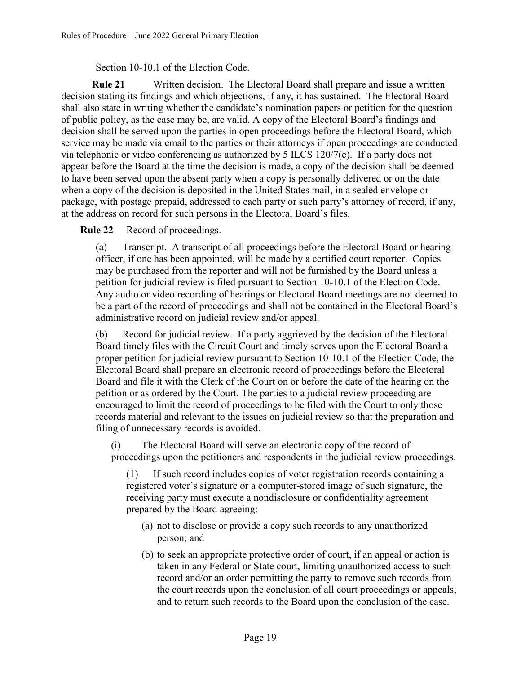Section 10-10.1 of the Election Code.

**Rule 21** Written decision. The Electoral Board shall prepare and issue a written decision stating its findings and which objections, if any, it has sustained. The Electoral Board shall also state in writing whether the candidate's nomination papers or petition for the question of public policy, as the case may be, are valid. A copy of the Electoral Board's findings and decision shall be served upon the parties in open proceedings before the Electoral Board, which service may be made via email to the parties or their attorneys if open proceedings are conducted via telephonic or video conferencing as authorized by 5 ILCS 120/7(e). If a party does not appear before the Board at the time the decision is made, a copy of the decision shall be deemed to have been served upon the absent party when a copy is personally delivered or on the date when a copy of the decision is deposited in the United States mail, in a sealed envelope or package, with postage prepaid, addressed to each party or such party's attorney of record, if any, at the address on record for such persons in the Electoral Board's files.

**Rule 22** Record of proceedings.

(a) Transcript. A transcript of all proceedings before the Electoral Board or hearing officer, if one has been appointed, will be made by a certified court reporter. Copies may be purchased from the reporter and will not be furnished by the Board unless a petition for judicial review is filed pursuant to Section 10-10.1 of the Election Code. Any audio or video recording of hearings or Electoral Board meetings are not deemed to be a part of the record of proceedings and shall not be contained in the Electoral Board's administrative record on judicial review and/or appeal.

(b) Record for judicial review. If a party aggrieved by the decision of the Electoral Board timely files with the Circuit Court and timely serves upon the Electoral Board a proper petition for judicial review pursuant to Section 10-10.1 of the Election Code, the Electoral Board shall prepare an electronic record of proceedings before the Electoral Board and file it with the Clerk of the Court on or before the date of the hearing on the petition or as ordered by the Court. The parties to a judicial review proceeding are encouraged to limit the record of proceedings to be filed with the Court to only those records material and relevant to the issues on judicial review so that the preparation and filing of unnecessary records is avoided.

(i) The Electoral Board will serve an electronic copy of the record of proceedings upon the petitioners and respondents in the judicial review proceedings.

(1) If such record includes copies of voter registration records containing a registered voter's signature or a computer-stored image of such signature, the receiving party must execute a nondisclosure or confidentiality agreement prepared by the Board agreeing:

- (a) not to disclose or provide a copy such records to any unauthorized person; and
- (b) to seek an appropriate protective order of court, if an appeal or action is taken in any Federal or State court, limiting unauthorized access to such record and/or an order permitting the party to remove such records from the court records upon the conclusion of all court proceedings or appeals; and to return such records to the Board upon the conclusion of the case.